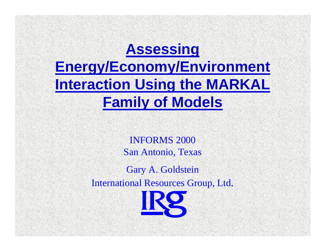## **Assessing Assessing Energy/Economy/Environment Energy/Economy/Environment Interaction Using the MARKAL Family of Models Family of Models**

INFORMS 2000San Antonio, Texas

Gary A. Goldstein

International Resources Group, Ltd.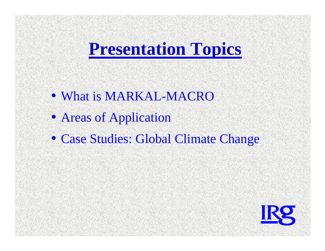## **Presentation Topics Presentation Topics**

- What is MARKAL-MACRO
- Areas of Application
- Case Studies: Global Climate Change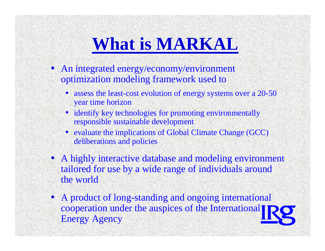## **What is MARKAL What is MARKAL**

- An integrated energy/economy/environment optimization modeling framework used to
	- assess the least-cost evolution of energy systems over a 20-50 year time horizon
	- identify key technologies for promoting environmentally responsible sustainable development
		- evaluate the implications of Global Climate Change (GCC) deliberations and policies
- A highly interactive database and modeling environment tailored for use by a wide range of individuals around the world
- A product of long-standing and ongoing international cooperation under the auspices of the International Energy Agency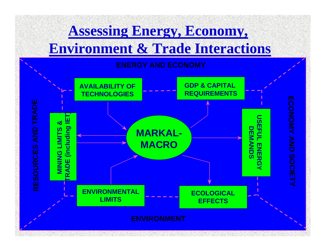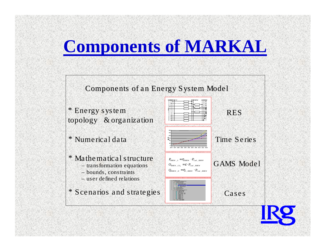# **Components of MARKAL**

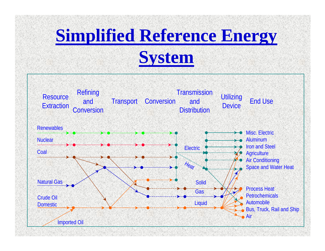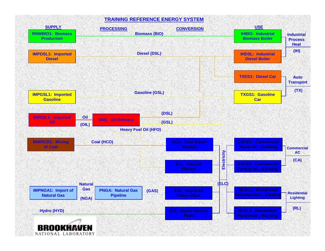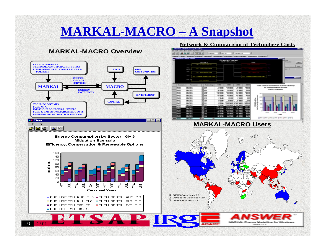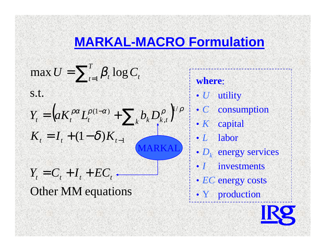### **MARKAL-MACRO Formulation**

 $\left( a K_t^{\rho\alpha} L_t^{\rho(1-\alpha)} + \sum_k b_k D_{k,t}^\rho \right)$   $\mathbf{I}$   $\left\{ \right.$  $\int \max U = \sum_{t=1}^{T} \beta_t \log$  $Y_t = C_t + I_t + EC_t$  $= 1. +$ − $I_t = I_t + (1 - \delta)K_{t-1}$  $= (aK_t^{\mu\alpha}L_t^{\mu\alpha} +$ −  $\sum_k b_k D_{k,t}^\rho \big)^{\!\!\!\perp\,}$ Other MM equations s.t. ,  $(1-\alpha)$  $\mu_t$   $\mu_t$   $\mu_t$   $\mu_t$   $\mu_t$   $\mu_t$ ,  $\mu_t$ *T*  $t = 1$   $\begin{bmatrix} t & t \\ t & t \end{bmatrix}$  $K_i = I_i + (1 - \delta)K$  $Y = (aK^{\rho\alpha}L^{\rho(1-\alpha)} + \sum b_{\alpha}D^{\alpha}$  $U = \sum_{t=1}^{T} \beta_t \log C$  $\rho \alpha I \rho^{(1-\alpha)}$ ,  $\sum_{\mathbf{b}} \mathbf{D}^{\rho} \mathbf{I}^{\prime \rho}$ • *C*•*I*MARKAL

**where**:

- *U* utility
- consumption
- *K* capital
- *L* labor
- $D_k$  energy services
- investments
- *EC* energy costs
- Y production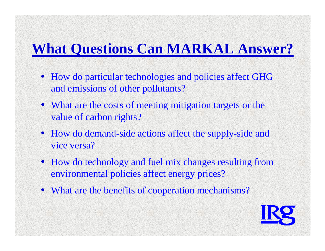## **What Questions Can MARKAL Answer?**

- How do particular technologies and policies affect GHG and emissions of other pollutants?
- What are the costs of meeting mitigation targets or the value of carbon rights?
- How do demand-side actions affect the supply-side and vice versa?
- How do technology and fuel mix changes resulting from environmental policies affect energy prices?
- What are the benefits of cooperation mechanisms?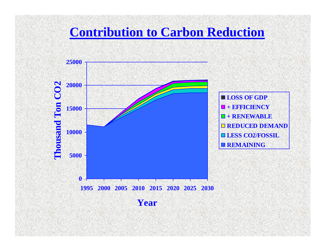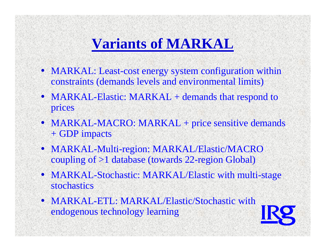## **Variants of MARKAL Variants of MARKAL**

- MARKAL: Least-cost energy system configuration within constraints (demands levels and environmental limits)
- MARKAL-Elastic: MARKAL + demands that respond to prices
- MARKAL-MACRO: MARKAL + price sensitive demands + GDP impacts
- MARKAL-Multi-region: MARKAL/Elastic/MACRO coupling of >1 database (towards 22-region Global)
- MARKAL-Stochastic: MARKAL/Elastic with multi-stage stochastics
- MARKAL-ETL: MARKAL/Elastic/Stochastic with endogenous technology learning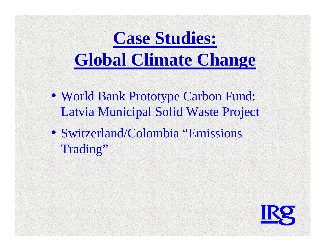# Case Studies: **Global Climate Change Global Climate Change**

- World Bank Prototype Carbon Fund: Latvia Municipal Solid Waste Project
- Switzerland/Colombia "Emissions" Trading"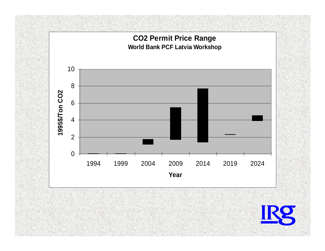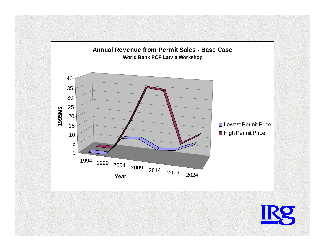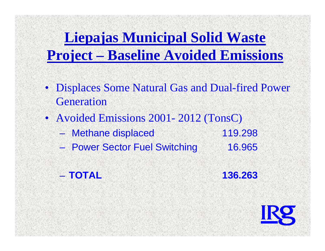**Liepajas Municipal Solid Waste Project – Baseline Avoided Emissions** 

- Displaces Some Natural Gas and Dual-fired Power **Generation**
- Avoided Emissions 2001- 2012 (TonsC)
	- Methane displaced 119.298
	- Power Sector Fuel Switching 16.965



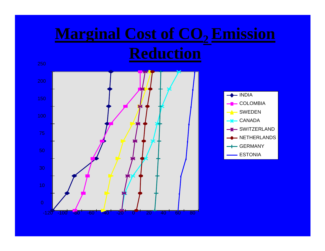# **Marginal Cost of CO<sub>2</sub> Emission**

### **Reduction**



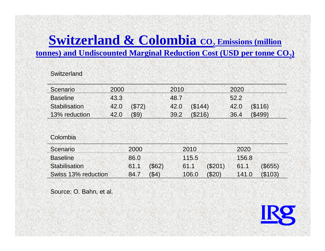### **Switzerland & Colombia CO 2 Emissions (million tonnes) and Undiscounted Marginal Reduction Cost (USD per tonne CO 2)**

#### **Switzerland**

| Scenario             | 2000 |          | 2010 |        | 2020 |         |
|----------------------|------|----------|------|--------|------|---------|
| <b>Baseline</b>      | 43.3 |          | 48.7 |        | 52.2 |         |
| <b>Stabilisation</b> | 42.0 | (S72)    | 42.0 | (S144) | 42.0 | (S116)  |
| 13% reduction        | 42.0 | $($ \$9) | 39.2 | (S216) | 36.4 | (\$499) |

#### Colombia

| Scenario            | 2000 |           | 2010  |         | 2020  |           |
|---------------------|------|-----------|-------|---------|-------|-----------|
| <b>Baseline</b>     | 86.0 |           | 115.5 |         | 156.8 |           |
| Stabilisation       | 61.1 | $($ \$62) | 61.1  | (\$201) | 61.1  | $(\$655)$ |
| Swiss 13% reduction | 84.7 | (\$4)     | 106.0 | (S20)   | 141.0 | (S103)    |

Source: O. Bahn, et al.

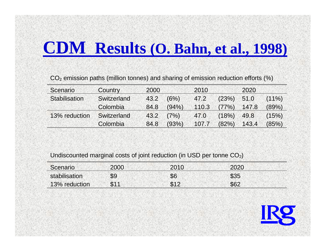# **CDM Results (O. Bahn, et al., 1998)**

CO2 emission paths (million tonnes) and sharing of emission reduction efforts (%)

| Scenario             | Country     | 2000 |        | 2010  |       | 2020  |          |
|----------------------|-------------|------|--------|-------|-------|-------|----------|
| <b>Stabilisation</b> | Switzerland | 43.2 | (6%)   | 47.2  | (23%) | 51.0  | $(11\%)$ |
|                      | Colombia    | 84.8 | (94% ) | 110.3 | (77%) | 147.8 | (89%)    |
| 13% reduction        | Switzerland | 43.2 | (7%)   | 47.0  | (18%) | 49.8  | (15%)    |
|                      | Colombia    | 84.8 | (93%)  | 107.7 | (82%) | 143.4 | (85%)    |

#### Undiscounted marginal costs of joint reduction (in USD per tonne CO2)

| Scenario      | 2000 | 2010 | 2020 |
|---------------|------|------|------|
| stabilisation | \$9  | \$6  | \$35 |
| 13% reduction | \$11 | \$12 | \$62 |